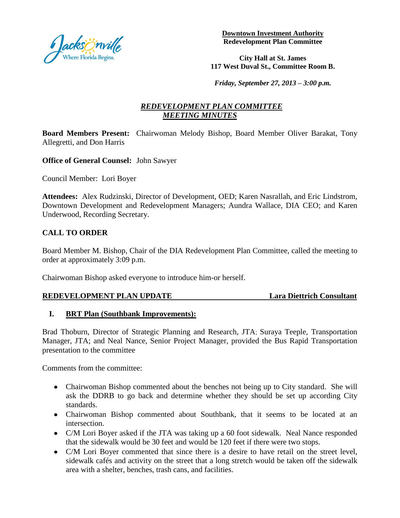

**Downtown Investment Authority Redevelopment Plan Committee**

**City Hall at St. James 117 West Duval St., Committee Room B.** 

*Friday, September 27, 2013 – 3:00 p.m.*

# *REDEVELOPMENT PLAN COMMITTEE MEETING MINUTES*

**Board Members Present:** Chairwoman Melody Bishop, Board Member Oliver Barakat, Tony Allegretti, and Don Harris

**Office of General Counsel:** John Sawyer

Council Member: Lori Boyer

**Attendees:** Alex Rudzinski, Director of Development, OED; Karen Nasrallah, and Eric Lindstrom, Downtown Development and Redevelopment Managers; Aundra Wallace, DIA CEO; and Karen Underwood, Recording Secretary.

## **CALL TO ORDER**

Board Member M. Bishop, Chair of the DIA Redevelopment Plan Committee, called the meeting to order at approximately 3:09 p.m.

Chairwoman Bishop asked everyone to introduce him-or herself.

### **REDEVELOPMENT PLAN UPDATE Lara Diettrich Consultant**

### **I. BRT Plan (Southbank Improvements):**

Brad Thoburn, Director of Strategic Planning and Research, JTA; Suraya Teeple, Transportation Manager, JTA; and Neal Nance, Senior Project Manager, provided the Bus Rapid Transportation presentation to the committee

Comments from the committee:

- Chairwoman Bishop commented about the benches not being up to City standard. She will ask the DDRB to go back and determine whether they should be set up according City standards.
- Chairwoman Bishop commented about Southbank, that it seems to be located at an intersection.
- C/M Lori Boyer asked if the JTA was taking up a 60 foot sidewalk. Neal Nance responded that the sidewalk would be 30 feet and would be 120 feet if there were two stops.
- C/M Lori Boyer commented that since there is a desire to have retail on the street level, sidewalk cafés and activity on the street that a long stretch would be taken off the sidewalk area with a shelter, benches, trash cans, and facilities.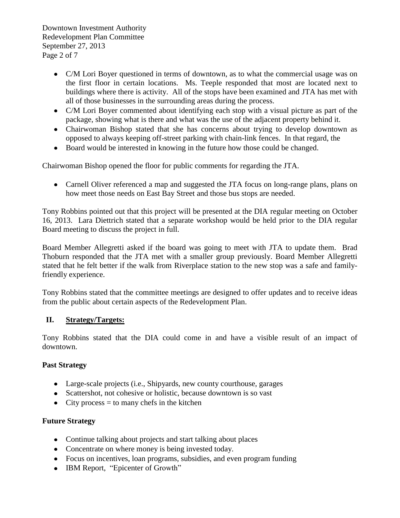Downtown Investment Authority Redevelopment Plan Committee September 27, 2013 Page 2 of 7

- C/M Lori Boyer questioned in terms of downtown, as to what the commercial usage was on the first floor in certain locations. Ms. Teeple responded that most are located next to buildings where there is activity. All of the stops have been examined and JTA has met with all of those businesses in the surrounding areas during the process.
- C/M Lori Boyer commented about identifying each stop with a visual picture as part of the package, showing what is there and what was the use of the adjacent property behind it.
- Chairwoman Bishop stated that she has concerns about trying to develop downtown as opposed to always keeping off-street parking with chain-link fences. In that regard, the
- Board would be interested in knowing in the future how those could be changed.

Chairwoman Bishop opened the floor for public comments for regarding the JTA.

• Carnell Oliver referenced a map and suggested the JTA focus on long-range plans, plans on how meet those needs on East Bay Street and those bus stops are needed.

Tony Robbins pointed out that this project will be presented at the DIA regular meeting on October 16, 2013. Lara Diettrich stated that a separate workshop would be held prior to the DIA regular Board meeting to discuss the project in full.

Board Member Allegretti asked if the board was going to meet with JTA to update them. Brad Thoburn responded that the JTA met with a smaller group previously. Board Member Allegretti stated that he felt better if the walk from Riverplace station to the new stop was a safe and familyfriendly experience.

Tony Robbins stated that the committee meetings are designed to offer updates and to receive ideas from the public about certain aspects of the Redevelopment Plan.

## **II. Strategy/Targets:**

Tony Robbins stated that the DIA could come in and have a visible result of an impact of downtown.

## **Past Strategy**

- Large-scale projects (i.e., Shipyards, new county courthouse, garages
- Scattershot, not cohesive or holistic, because downtown is so vast
- City process  $=$  to many chefs in the kitchen

## **Future Strategy**

- Continue talking about projects and start talking about places
- Concentrate on where money is being invested today.
- Focus on incentives, loan programs, subsidies, and even program funding
- IBM Report, "Epicenter of Growth"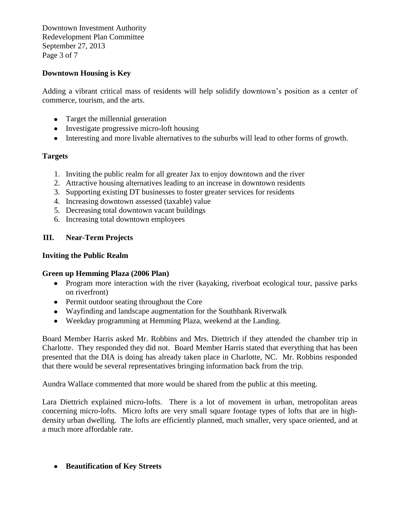Downtown Investment Authority Redevelopment Plan Committee September 27, 2013 Page 3 of 7

# **Downtown Housing is Key**

Adding a vibrant critical mass of residents will help solidify downtown's position as a center of commerce, tourism, and the arts.

- Target the millennial generation
- Investigate progressive micro-loft housing
- Interesting and more livable alternatives to the suburbs will lead to other forms of growth.

## **Targets**

- 1. Inviting the public realm for all greater Jax to enjoy downtown and the river
- 2. Attractive housing alternatives leading to an increase in downtown residents
- 3. Supporting existing DT businesses to foster greater services for residents
- 4. Increasing downtown assessed (taxable) value
- 5. Decreasing total downtown vacant buildings
- 6. Increasing total downtown employees

# **III. Near-Term Projects**

## **Inviting the Public Realm**

## **Green up Hemming Plaza (2006 Plan)**

- Program more interaction with the river (kayaking, riverboat ecological tour, passive parks on riverfront)
- Permit outdoor seating throughout the Core
- Wayfinding and landscape augmentation for the Southbank Riverwalk
- Weekday programming at Hemming Plaza, weekend at the Landing.

Board Member Harris asked Mr. Robbins and Mrs. Diettrich if they attended the chamber trip in Charlotte. They responded they did not. Board Member Harris stated that everything that has been presented that the DIA is doing has already taken place in Charlotte, NC. Mr. Robbins responded that there would be several representatives bringing information back from the trip.

Aundra Wallace commented that more would be shared from the public at this meeting.

Lara Diettrich explained micro-lofts. There is a lot of movement in urban, metropolitan areas concerning micro-lofts. Micro lofts are very small square footage types of lofts that are in highdensity urban dwelling. The lofts are efficiently planned, much smaller, very space oriented, and at a much more affordable rate.

### **Beautification of Key Streets**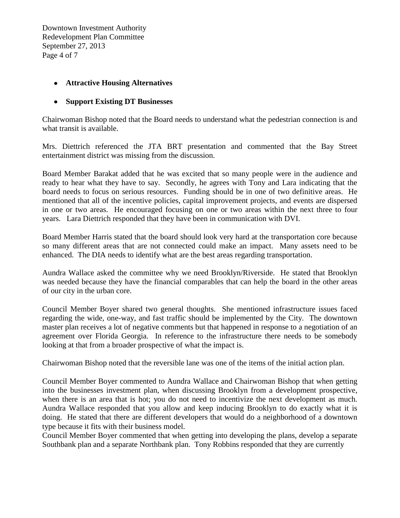Downtown Investment Authority Redevelopment Plan Committee September 27, 2013 Page 4 of 7

### **Attractive Housing Alternatives**

### **Support Existing DT Businesses**

Chairwoman Bishop noted that the Board needs to understand what the pedestrian connection is and what transit is available.

Mrs. Diettrich referenced the JTA BRT presentation and commented that the Bay Street entertainment district was missing from the discussion.

Board Member Barakat added that he was excited that so many people were in the audience and ready to hear what they have to say. Secondly, he agrees with Tony and Lara indicating that the board needs to focus on serious resources. Funding should be in one of two definitive areas. He mentioned that all of the incentive policies, capital improvement projects, and events are dispersed in one or two areas. He encouraged focusing on one or two areas within the next three to four years. Lara Diettrich responded that they have been in communication with DVI.

Board Member Harris stated that the board should look very hard at the transportation core because so many different areas that are not connected could make an impact. Many assets need to be enhanced. The DIA needs to identify what are the best areas regarding transportation.

Aundra Wallace asked the committee why we need Brooklyn/Riverside. He stated that Brooklyn was needed because they have the financial comparables that can help the board in the other areas of our city in the urban core.

Council Member Boyer shared two general thoughts. She mentioned infrastructure issues faced regarding the wide, one-way, and fast traffic should be implemented by the City. The downtown master plan receives a lot of negative comments but that happened in response to a negotiation of an agreement over Florida Georgia. In reference to the infrastructure there needs to be somebody looking at that from a broader prospective of what the impact is.

Chairwoman Bishop noted that the reversible lane was one of the items of the initial action plan.

Council Member Boyer commented to Aundra Wallace and Chairwoman Bishop that when getting into the businesses investment plan, when discussing Brooklyn from a development prospective, when there is an area that is hot; you do not need to incentivize the next development as much. Aundra Wallace responded that you allow and keep inducing Brooklyn to do exactly what it is doing. He stated that there are different developers that would do a neighborhood of a downtown type because it fits with their business model.

Council Member Boyer commented that when getting into developing the plans, develop a separate Southbank plan and a separate Northbank plan. Tony Robbins responded that they are currently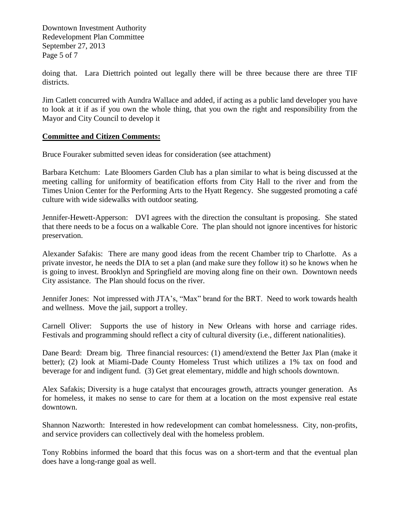Downtown Investment Authority Redevelopment Plan Committee September 27, 2013 Page 5 of 7

doing that. Lara Diettrich pointed out legally there will be three because there are three TIF districts.

Jim Catlett concurred with Aundra Wallace and added, if acting as a public land developer you have to look at it if as if you own the whole thing, that you own the right and responsibility from the Mayor and City Council to develop it

### **Committee and Citizen Comments:**

Bruce Fouraker submitted seven ideas for consideration (see attachment)

Barbara Ketchum: Late Bloomers Garden Club has a plan similar to what is being discussed at the meeting calling for uniformity of beatification efforts from City Hall to the river and from the Times Union Center for the Performing Arts to the Hyatt Regency. She suggested promoting a café culture with wide sidewalks with outdoor seating.

Jennifer-Hewett-Apperson: DVI agrees with the direction the consultant is proposing. She stated that there needs to be a focus on a walkable Core. The plan should not ignore incentives for historic preservation.

Alexander Safakis: There are many good ideas from the recent Chamber trip to Charlotte. As a private investor, he needs the DIA to set a plan (and make sure they follow it) so he knows when he is going to invest. Brooklyn and Springfield are moving along fine on their own. Downtown needs City assistance. The Plan should focus on the river.

Jennifer Jones: Not impressed with JTA's, "Max" brand for the BRT. Need to work towards health and wellness. Move the jail, support a trolley.

Carnell Oliver: Supports the use of history in New Orleans with horse and carriage rides. Festivals and programming should reflect a city of cultural diversity (i.e., different nationalities).

Dane Beard: Dream big. Three financial resources: (1) amend/extend the Better Jax Plan (make it better); (2) look at Miami-Dade County Homeless Trust which utilizes a 1% tax on food and beverage for and indigent fund. (3) Get great elementary, middle and high schools downtown.

Alex Safakis; Diversity is a huge catalyst that encourages growth, attracts younger generation. As for homeless, it makes no sense to care for them at a location on the most expensive real estate downtown.

Shannon Nazworth: Interested in how redevelopment can combat homelessness. City, non-profits, and service providers can collectively deal with the homeless problem.

Tony Robbins informed the board that this focus was on a short-term and that the eventual plan does have a long-range goal as well.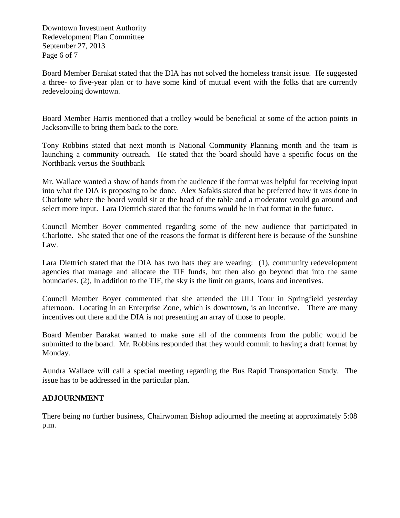Downtown Investment Authority Redevelopment Plan Committee September 27, 2013 Page 6 of 7

Board Member Barakat stated that the DIA has not solved the homeless transit issue. He suggested a three- to five-year plan or to have some kind of mutual event with the folks that are currently redeveloping downtown.

Board Member Harris mentioned that a trolley would be beneficial at some of the action points in Jacksonville to bring them back to the core.

Tony Robbins stated that next month is National Community Planning month and the team is launching a community outreach. He stated that the board should have a specific focus on the Northbank versus the Southbank

Mr. Wallace wanted a show of hands from the audience if the format was helpful for receiving input into what the DIA is proposing to be done. Alex Safakis stated that he preferred how it was done in Charlotte where the board would sit at the head of the table and a moderator would go around and select more input. Lara Diettrich stated that the forums would be in that format in the future.

Council Member Boyer commented regarding some of the new audience that participated in Charlotte. She stated that one of the reasons the format is different here is because of the Sunshine Law.

Lara Diettrich stated that the DIA has two hats they are wearing: (1), community redevelopment agencies that manage and allocate the TIF funds, but then also go beyond that into the same boundaries. (2), In addition to the TIF, the sky is the limit on grants, loans and incentives.

Council Member Boyer commented that she attended the ULI Tour in Springfield yesterday afternoon. Locating in an Enterprise Zone, which is downtown, is an incentive. There are many incentives out there and the DIA is not presenting an array of those to people.

Board Member Barakat wanted to make sure all of the comments from the public would be submitted to the board. Mr. Robbins responded that they would commit to having a draft format by Monday.

Aundra Wallace will call a special meeting regarding the Bus Rapid Transportation Study. The issue has to be addressed in the particular plan.

## **ADJOURNMENT**

There being no further business, Chairwoman Bishop adjourned the meeting at approximately 5:08 p.m.